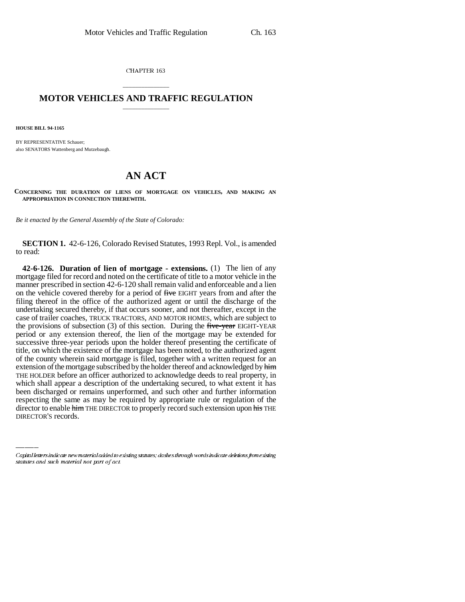CHAPTER 163

## \_\_\_\_\_\_\_\_\_\_\_\_\_\_\_ **MOTOR VEHICLES AND TRAFFIC REGULATION** \_\_\_\_\_\_\_\_\_\_\_\_\_\_\_

**HOUSE BILL 94-1165**

BY REPRESENTATIVE Schauer; also SENATORS Wattenberg and Mutzebaugh.

## **AN ACT**

**CONCERNING THE DURATION OF LIENS OF MORTGAGE ON VEHICLES, AND MAKING AN APPROPRIATION IN CONNECTION THEREWITH.**

*Be it enacted by the General Assembly of the State of Colorado:*

**SECTION 1.** 42-6-126, Colorado Revised Statutes, 1993 Repl. Vol., is amended to read:

been discharged or remains unperformed, and such other and further information **42-6-126. Duration of lien of mortgage - extensions.** (1) The lien of any mortgage filed for record and noted on the certificate of title to a motor vehicle in the manner prescribed in section 42-6-120 shall remain valid and enforceable and a lien on the vehicle covered thereby for a period of five EIGHT years from and after the filing thereof in the office of the authorized agent or until the discharge of the undertaking secured thereby, if that occurs sooner, and not thereafter, except in the case of trailer coaches, TRUCK TRACTORS, AND MOTOR HOMES, which are subject to the provisions of subsection  $(3)$  of this section. During the five-year EIGHT-YEAR period or any extension thereof, the lien of the mortgage may be extended for successive three-year periods upon the holder thereof presenting the certificate of title, on which the existence of the mortgage has been noted, to the authorized agent of the county wherein said mortgage is filed, together with a written request for an extension of the mortgage subscribed by the holder thereof and acknowledged by him THE HOLDER before an officer authorized to acknowledge deeds to real property, in which shall appear a description of the undertaking secured, to what extent it has respecting the same as may be required by appropriate rule or regulation of the director to enable him THE DIRECTOR to properly record such extension upon his THE DIRECTOR'S records.

Capital letters indicate new material added to existing statutes; dashes through words indicate deletions from existing statutes and such material not part of act.